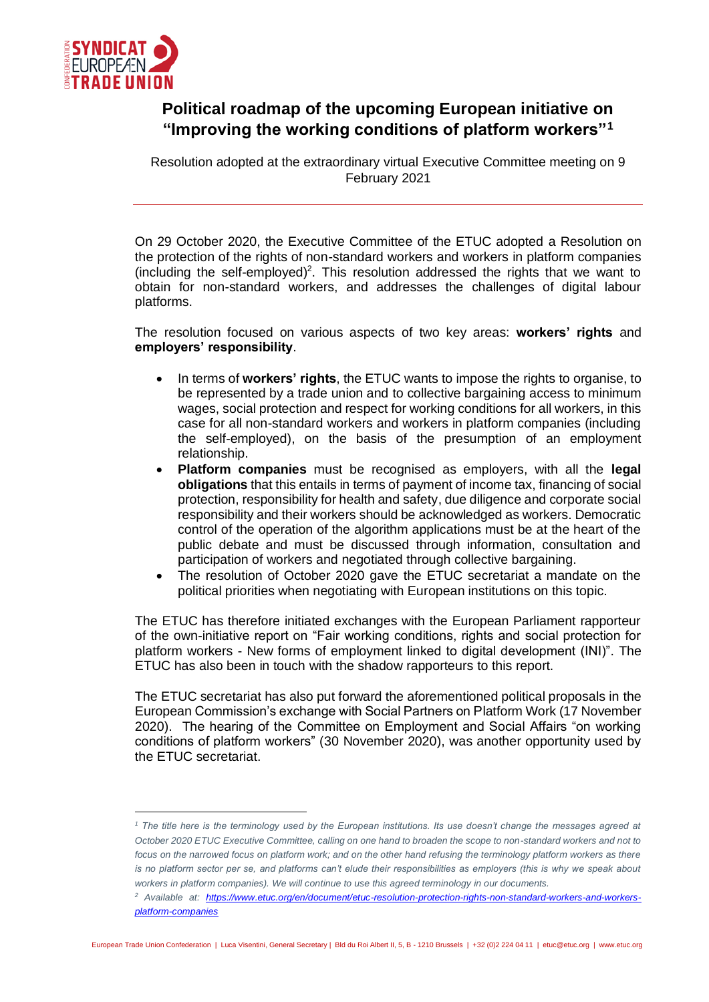

## **Political roadmap of the upcoming European initiative on "Improving the working conditions of platform workers"<sup>1</sup>**

Resolution adopted at the extraordinary virtual Executive Committee meeting on 9 February 2021

On 29 October 2020, the Executive Committee of the ETUC adopted a Resolution on the protection of the rights of non-standard workers and workers in platform companies (including the self-employed)<sup>2</sup>. This resolution addressed the rights that we want to obtain for non-standard workers, and addresses the challenges of digital labour platforms.

The resolution focused on various aspects of two key areas: **workers' rights** and **employers' responsibility**.

- In terms of **workers' rights**, the ETUC wants to impose the rights to organise, to be represented by a trade union and to collective bargaining access to minimum wages, social protection and respect for working conditions for all workers, in this case for all non-standard workers and workers in platform companies (including the self-employed), on the basis of the presumption of an employment relationship.
- **Platform companies** must be recognised as employers, with all the **legal obligations** that this entails in terms of payment of income tax, financing of social protection, responsibility for health and safety, due diligence and corporate social responsibility and their workers should be acknowledged as workers. Democratic control of the operation of the algorithm applications must be at the heart of the public debate and must be discussed through information, consultation and participation of workers and negotiated through collective bargaining.
- The resolution of October 2020 gave the ETUC secretariat a mandate on the political priorities when negotiating with European institutions on this topic.

The ETUC has therefore initiated exchanges with the European Parliament rapporteur of the own-initiative report on "Fair working conditions, rights and social protection for platform workers - New forms of employment linked to digital development (INI)". The ETUC has also been in touch with the shadow rapporteurs to this report.

The ETUC secretariat has also put forward the aforementioned political proposals in the European Commission's exchange with Social Partners on Platform Work (17 November 2020). The hearing of the Committee on Employment and Social Affairs "on working conditions of platform workers" (30 November 2020), was another opportunity used by the ETUC secretariat.

*<sup>1</sup> The title here is the terminology used by the European institutions. Its use doesn't change the messages agreed at October 2020 ETUC Executive Committee, calling on one hand to broaden the scope to non-standard workers and not to focus on the narrowed focus on platform work; and on the other hand refusing the terminology platform workers as there is no platform sector per se, and platforms can't elude their responsibilities as employers (this is why we speak about workers in platform companies). We will continue to use this agreed terminology in our documents.* 

*<sup>2</sup> Available at: [https://www.etuc.org/en/document/etuc-resolution-protection-rights-non-standard-workers-and-workers](https://www.etuc.org/en/document/etuc-resolution-protection-rights-non-standard-workers-and-workers-platform-companies)[platform-companies](https://www.etuc.org/en/document/etuc-resolution-protection-rights-non-standard-workers-and-workers-platform-companies)*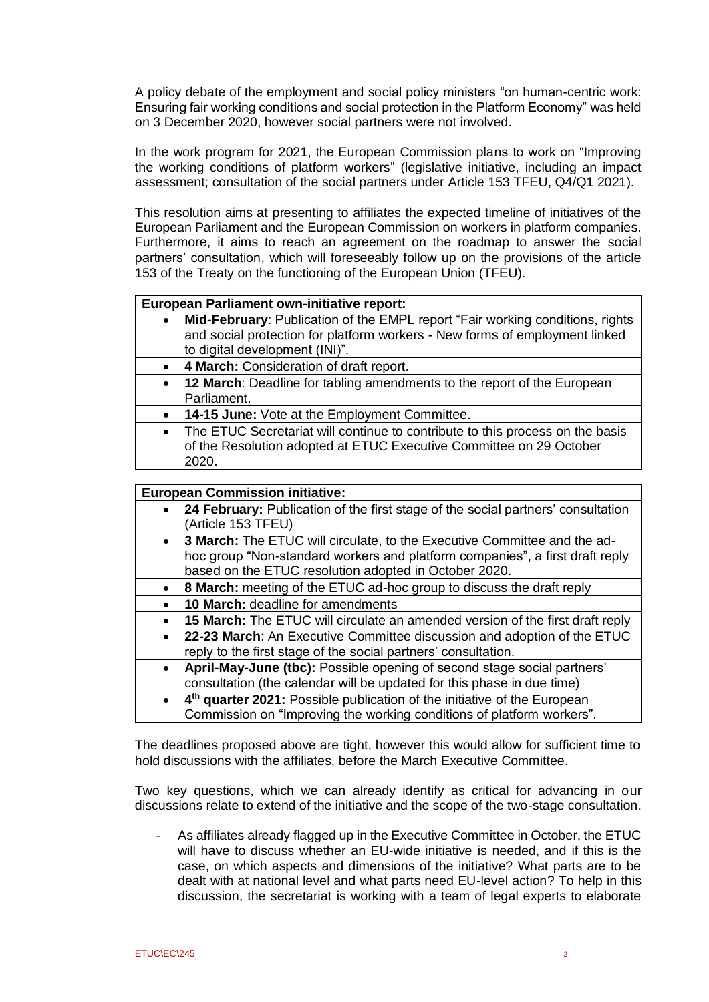A policy debate of the employment and social policy ministers "on human-centric work: Ensuring fair working conditions and social protection in the Platform Economy" was held on 3 December 2020, however social partners were not involved.

In the work program for 2021, the European Commission plans to work on "Improving the working conditions of platform workers" (legislative initiative, including an impact assessment; consultation of the social partners under Article 153 TFEU, Q4/Q1 2021).

This resolution aims at presenting to affiliates the expected timeline of initiatives of the European Parliament and the European Commission on workers in platform companies. Furthermore, it aims to reach an agreement on the roadmap to answer the social partners' consultation, which will foreseeably follow up on the provisions of the article 153 of the Treaty on the functioning of the European Union (TFEU).

| <b>European Parliament own-initiative report:</b> |                                                                                      |  |
|---------------------------------------------------|--------------------------------------------------------------------------------------|--|
|                                                   | <b>Mid-February:</b> Publication of the EMPL report "Fair working conditions, rights |  |
|                                                   | and social protection for platform workers - New forms of employment linked          |  |
|                                                   | to digital development (INI)".                                                       |  |
| $\bullet$                                         | 4 March: Consideration of draft report.                                              |  |
| $\bullet$                                         | 12 March: Deadline for tabling amendments to the report of the European              |  |
|                                                   | Parliament.                                                                          |  |
|                                                   | • 14-15 June: Vote at the Employment Committee.                                      |  |
|                                                   | • The ETUC Secretariat will continue to contribute to this process on the basis      |  |
|                                                   | of the Resolution adopted at ETUC Executive Committee on 29 October                  |  |
|                                                   | 2020.                                                                                |  |
|                                                   |                                                                                      |  |

## **European Commission initiative:**

| <b>24 February:</b> Publication of the first stage of the social partners' consultation |  |
|-----------------------------------------------------------------------------------------|--|
| (Article 153 TFEU)                                                                      |  |

- **3 March:** The ETUC will circulate, to the Executive Committee and the adhoc group "Non-standard workers and platform companies", a first draft reply based on the ETUC resolution adopted in October 2020.
- **8 March:** meeting of the ETUC ad-hoc group to discuss the draft reply
- **10 March:** deadline for amendments
- **15 March:** The ETUC will circulate an amended version of the first draft reply
- **22-23 March**: An Executive Committee discussion and adoption of the ETUC
- reply to the first stage of the social partners' consultation.
- **April-May-June (tbc):** Possible opening of second stage social partners' consultation (the calendar will be updated for this phase in due time)
- 4<sup>th</sup> quarter 2021: Possible publication of the initiative of the European Commission on "Improving the working conditions of platform workers".

The deadlines proposed above are tight, however this would allow for sufficient time to hold discussions with the affiliates, before the March Executive Committee.

Two key questions, which we can already identify as critical for advancing in our discussions relate to extend of the initiative and the scope of the two-stage consultation.

- As affiliates already flagged up in the Executive Committee in October, the ETUC will have to discuss whether an EU-wide initiative is needed, and if this is the case, on which aspects and dimensions of the initiative? What parts are to be dealt with at national level and what parts need EU-level action? To help in this discussion, the secretariat is working with a team of legal experts to elaborate